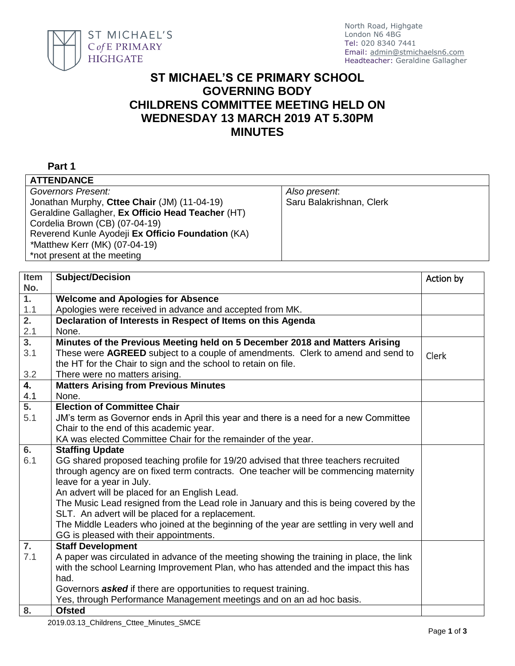

## **ST MICHAEL'S CE PRIMARY SCHOOL GOVERNING BODY CHILDRENS COMMITTEE MEETING HELD ON WEDNESDAY 13 MARCH 2019 AT 5.30PM MINUTES**

## **Part 1**

| <b>ATTENDANCE</b>                                 |                          |
|---------------------------------------------------|--------------------------|
| Governors Present:                                | Also present.            |
| Jonathan Murphy, Cttee Chair (JM) (11-04-19)      | Saru Balakrishnan, Clerk |
| Geraldine Gallagher, Ex Officio Head Teacher (HT) |                          |
| Cordelia Brown (CB) (07-04-19)                    |                          |
| Reverend Kunle Ayodeji Ex Officio Foundation (KA) |                          |
| *Matthew Kerr (MK) (07-04-19)                     |                          |
| *not present at the meeting                       |                          |
|                                                   |                          |

| <b>Item</b>      | <b>Subject/Decision</b>                                                                  | Action by    |
|------------------|------------------------------------------------------------------------------------------|--------------|
| No.              |                                                                                          |              |
| 1 <sub>1</sub>   | <b>Welcome and Apologies for Absence</b>                                                 |              |
| 1.1              | Apologies were received in advance and accepted from MK.                                 |              |
| $\overline{2}$ . | Declaration of Interests in Respect of Items on this Agenda                              |              |
| 2.1              | None.                                                                                    |              |
| 3.               | Minutes of the Previous Meeting held on 5 December 2018 and Matters Arising              |              |
| 3.1              | These were AGREED subject to a couple of amendments. Clerk to amend and send to          | <b>Clerk</b> |
|                  | the HT for the Chair to sign and the school to retain on file.                           |              |
| 3.2              | There were no matters arising.                                                           |              |
| $\overline{4.}$  | <b>Matters Arising from Previous Minutes</b>                                             |              |
| 4.1              | None.                                                                                    |              |
| $\overline{5}$ . | <b>Election of Committee Chair</b>                                                       |              |
| 5.1              | JM's term as Governor ends in April this year and there is a need for a new Committee    |              |
|                  | Chair to the end of this academic year.                                                  |              |
|                  | KA was elected Committee Chair for the remainder of the year.                            |              |
| 6.               | <b>Staffing Update</b>                                                                   |              |
| 6.1              | GG shared proposed teaching profile for 19/20 advised that three teachers recruited      |              |
|                  | through agency are on fixed term contracts. One teacher will be commencing maternity     |              |
|                  | leave for a year in July.                                                                |              |
|                  | An advert will be placed for an English Lead.                                            |              |
|                  | The Music Lead resigned from the Lead role in January and this is being covered by the   |              |
|                  | SLT. An advert will be placed for a replacement.                                         |              |
|                  | The Middle Leaders who joined at the beginning of the year are settling in very well and |              |
|                  | GG is pleased with their appointments.                                                   |              |
| $\overline{7}$ . | <b>Staff Development</b>                                                                 |              |
| 7.1              | A paper was circulated in advance of the meeting showing the training in place, the link |              |
|                  | with the school Learning Improvement Plan, who has attended and the impact this has      |              |
|                  | had.                                                                                     |              |
|                  | Governors <b>asked</b> if there are opportunities to request training.                   |              |
|                  | Yes, through Performance Management meetings and on an ad hoc basis.                     |              |
| 8.               | <b>Ofsted</b>                                                                            |              |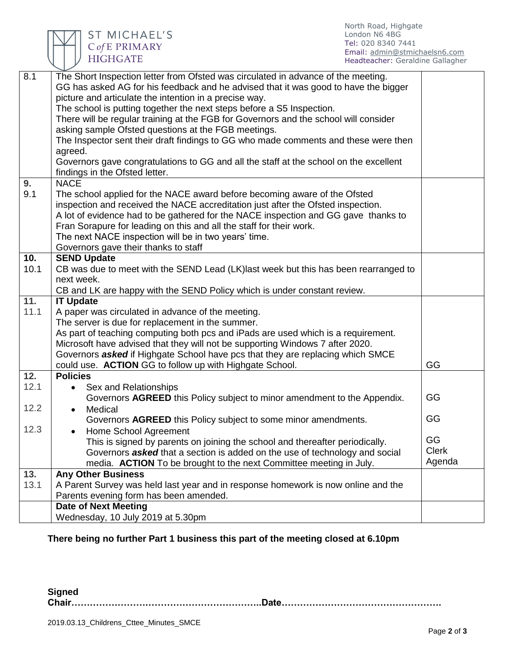

ST MICHAEL'S  $\mathsf{C}\mathit{of}\,\mathsf{E}\mathrel{\mathsf{PRIMARY}}$ HIGHGATE

| 8.1               | The Short Inspection letter from Ofsted was circulated in advance of the meeting.     |              |
|-------------------|---------------------------------------------------------------------------------------|--------------|
|                   | GG has asked AG for his feedback and he advised that it was good to have the bigger   |              |
|                   | picture and articulate the intention in a precise way.                                |              |
|                   | The school is putting together the next steps before a S5 Inspection.                 |              |
|                   | There will be regular training at the FGB for Governors and the school will consider  |              |
|                   | asking sample Ofsted questions at the FGB meetings.                                   |              |
|                   | The Inspector sent their draft findings to GG who made comments and these were then   |              |
|                   | agreed.                                                                               |              |
|                   | Governors gave congratulations to GG and all the staff at the school on the excellent |              |
|                   | findings in the Ofsted letter.                                                        |              |
| 9.                | <b>NACE</b>                                                                           |              |
| 9.1               | The school applied for the NACE award before becoming aware of the Ofsted             |              |
|                   | inspection and received the NACE accreditation just after the Ofsted inspection.      |              |
|                   | A lot of evidence had to be gathered for the NACE inspection and GG gave thanks to    |              |
|                   | Fran Sorapure for leading on this and all the staff for their work.                   |              |
|                   | The next NACE inspection will be in two years' time.                                  |              |
|                   | Governors gave their thanks to staff                                                  |              |
| 10.               | <b>SEND Update</b>                                                                    |              |
| 10.1              | CB was due to meet with the SEND Lead (LK)last week but this has been rearranged to   |              |
|                   | next week.                                                                            |              |
|                   | CB and LK are happy with the SEND Policy which is under constant review.              |              |
| $\overline{11}$ . | <b>IT Update</b>                                                                      |              |
| 11.1              | A paper was circulated in advance of the meeting.                                     |              |
|                   | The server is due for replacement in the summer.                                      |              |
|                   | As part of teaching computing both pcs and iPads are used which is a requirement.     |              |
|                   | Microsoft have advised that they will not be supporting Windows 7 after 2020.         |              |
|                   | Governors <b>asked</b> if Highgate School have pcs that they are replacing which SMCE |              |
|                   | could use. ACTION GG to follow up with Highgate School.                               | GG           |
| 12.               | <b>Policies</b>                                                                       |              |
| 12.1              | Sex and Relationships<br>$\bullet$                                                    |              |
|                   | Governors AGREED this Policy subject to minor amendment to the Appendix.              | GG           |
| 12.2              | Medical<br>$\bullet$                                                                  |              |
|                   | Governors AGREED this Policy subject to some minor amendments.                        | GG           |
| 12.3              | <b>Home School Agreement</b><br>$\bullet$                                             |              |
|                   | This is signed by parents on joining the school and thereafter periodically.          | GG           |
|                   | Governors <b>asked</b> that a section is added on the use of technology and social    | <b>Clerk</b> |
|                   | media. ACTION To be brought to the next Committee meeting in July.                    | Agenda       |
| 13.               | <b>Any Other Business</b>                                                             |              |
| 13.1              | A Parent Survey was held last year and in response homework is now online and the     |              |
|                   | Parents evening form has been amended.                                                |              |
|                   | Date of Next Meeting                                                                  |              |
|                   | Wednesday, 10 July 2019 at 5.30pm                                                     |              |
|                   |                                                                                       |              |

## **There being no further Part 1 business this part of the meeting closed at 6.10pm**

**Signed Chair……………………………………………………..Date…………………………………………….**